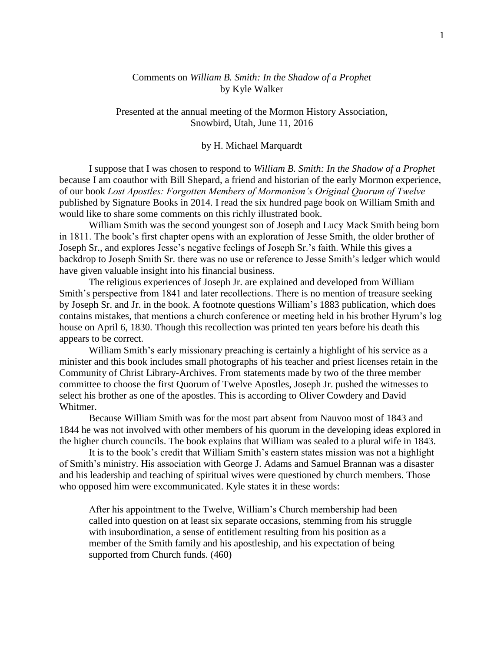## Comments on *William B. Smith: In the Shadow of a Prophet* by Kyle Walker

Presented at the annual meeting of the Mormon History Association, Snowbird, Utah, June 11, 2016

## by H. Michael Marquardt

I suppose that I was chosen to respond to *William B. Smith: In the Shadow of a Prophet* because I am coauthor with Bill Shepard, a friend and historian of the early Mormon experience, of our book *Lost Apostles: Forgotten Members of Mormonism's Original Quorum of Twelve* published by Signature Books in 2014. I read the six hundred page book on William Smith and would like to share some comments on this richly illustrated book.

William Smith was the second youngest son of Joseph and Lucy Mack Smith being born in 1811. The book's first chapter opens with an exploration of Jesse Smith, the older brother of Joseph Sr., and explores Jesse's negative feelings of Joseph Sr.'s faith. While this gives a backdrop to Joseph Smith Sr. there was no use or reference to Jesse Smith's ledger which would have given valuable insight into his financial business.

The religious experiences of Joseph Jr. are explained and developed from William Smith's perspective from 1841 and later recollections. There is no mention of treasure seeking by Joseph Sr. and Jr. in the book. A footnote questions William's 1883 publication, which does contains mistakes, that mentions a church conference or meeting held in his brother Hyrum's log house on April 6, 1830. Though this recollection was printed ten years before his death this appears to be correct.

William Smith's early missionary preaching is certainly a highlight of his service as a minister and this book includes small photographs of his teacher and priest licenses retain in the Community of Christ Library-Archives. From statements made by two of the three member committee to choose the first Quorum of Twelve Apostles, Joseph Jr. pushed the witnesses to select his brother as one of the apostles. This is according to Oliver Cowdery and David Whitmer.

Because William Smith was for the most part absent from Nauvoo most of 1843 and 1844 he was not involved with other members of his quorum in the developing ideas explored in the higher church councils. The book explains that William was sealed to a plural wife in 1843.

It is to the book's credit that William Smith's eastern states mission was not a highlight of Smith's ministry. His association with George J. Adams and Samuel Brannan was a disaster and his leadership and teaching of spiritual wives were questioned by church members. Those who opposed him were excommunicated. Kyle states it in these words:

After his appointment to the Twelve, William's Church membership had been called into question on at least six separate occasions, stemming from his struggle with insubordination, a sense of entitlement resulting from his position as a member of the Smith family and his apostleship, and his expectation of being supported from Church funds. (460)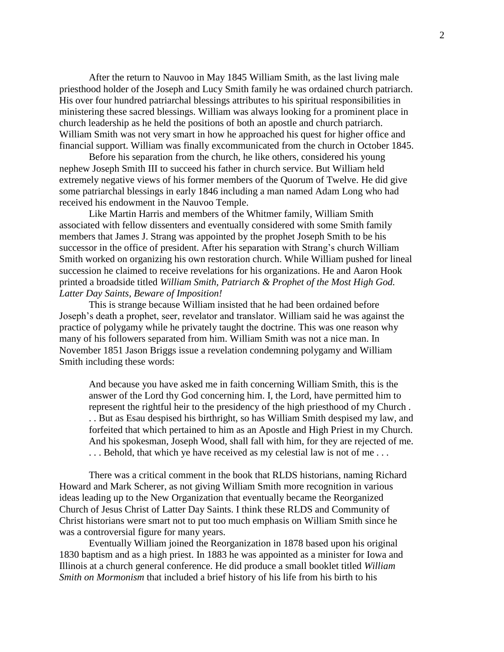After the return to Nauvoo in May 1845 William Smith, as the last living male priesthood holder of the Joseph and Lucy Smith family he was ordained church patriarch. His over four hundred patriarchal blessings attributes to his spiritual responsibilities in ministering these sacred blessings. William was always looking for a prominent place in church leadership as he held the positions of both an apostle and church patriarch. William Smith was not very smart in how he approached his quest for higher office and financial support. William was finally excommunicated from the church in October 1845.

Before his separation from the church, he like others, considered his young nephew Joseph Smith III to succeed his father in church service. But William held extremely negative views of his former members of the Quorum of Twelve. He did give some patriarchal blessings in early 1846 including a man named Adam Long who had received his endowment in the Nauvoo Temple.

Like Martin Harris and members of the Whitmer family, William Smith associated with fellow dissenters and eventually considered with some Smith family members that James J. Strang was appointed by the prophet Joseph Smith to be his successor in the office of president. After his separation with Strang's church William Smith worked on organizing his own restoration church. While William pushed for lineal succession he claimed to receive revelations for his organizations. He and Aaron Hook printed a broadside titled *William Smith, Patriarch & Prophet of the Most High God. Latter Day Saints, Beware of Imposition!*

This is strange because William insisted that he had been ordained before Joseph's death a prophet, seer, revelator and translator. William said he was against the practice of polygamy while he privately taught the doctrine. This was one reason why many of his followers separated from him. William Smith was not a nice man. In November 1851 Jason Briggs issue a revelation condemning polygamy and William Smith including these words:

And because you have asked me in faith concerning William Smith, this is the answer of the Lord thy God concerning him. I, the Lord, have permitted him to represent the rightful heir to the presidency of the high priesthood of my Church . . . But as Esau despised his birthright, so has William Smith despised my law, and forfeited that which pertained to him as an Apostle and High Priest in my Church. And his spokesman, Joseph Wood, shall fall with him, for they are rejected of me. ... Behold, that which ye have received as my celestial law is not of me...

There was a critical comment in the book that RLDS historians, naming Richard Howard and Mark Scherer, as not giving William Smith more recognition in various ideas leading up to the New Organization that eventually became the Reorganized Church of Jesus Christ of Latter Day Saints. I think these RLDS and Community of Christ historians were smart not to put too much emphasis on William Smith since he was a controversial figure for many years.

Eventually William joined the Reorganization in 1878 based upon his original 1830 baptism and as a high priest. In 1883 he was appointed as a minister for Iowa and Illinois at a church general conference. He did produce a small booklet titled *William Smith on Mormonism* that included a brief history of his life from his birth to his